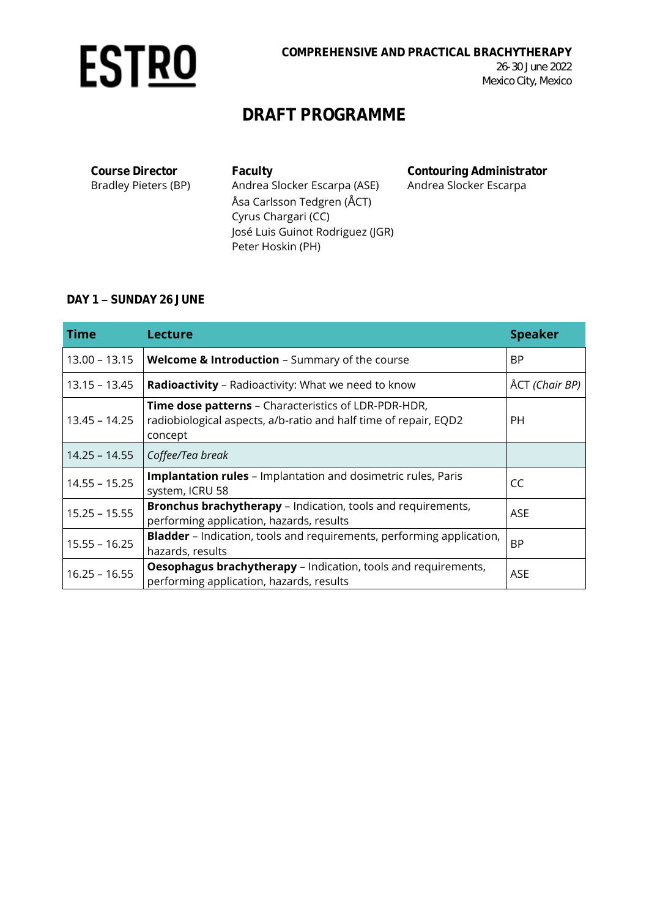

**Course Director** Bradley Pieters (BP) **Faculty** Andrea Slocker Escarpa (ASE) Åsa Carlsson Tedgren (ÅCT) Cyrus Chargari (CC) José Luis Guinot Rodriguez (JGR) Peter Hoskin (PH) **Contouring Administrator** Andrea Slocker Escarpa

#### DAY 1 - SUNDAY 26 JUNE

| <b>Time</b>     | <b>Lecture</b>                                                                                                                             | <b>Speaker</b> |
|-----------------|--------------------------------------------------------------------------------------------------------------------------------------------|----------------|
| $13.00 - 13.15$ | Welcome & Introduction - Summary of the course                                                                                             | <b>BP</b>      |
| $13.15 - 13.45$ | Radioactivity - Radioactivity: What we need to know                                                                                        | ÅCT (Chair BP) |
| $13.45 - 14.25$ | <b>Time dose patterns - Characteristics of LDR-PDR-HDR,</b><br>radiobiological aspects, a/b-ratio and half time of repair, EQD2<br>concept | PH.            |
| $14.25 - 14.55$ | Coffee/Tea break                                                                                                                           |                |
| $14.55 - 15.25$ | <b>Implantation rules</b> - Implantation and dosimetric rules, Paris<br>system, ICRU 58                                                    | CC             |
| $15.25 - 15.55$ | <b>Bronchus brachytherapy</b> – Indication, tools and requirements,<br>performing application, hazards, results                            | <b>ASE</b>     |
| $15.55 - 16.25$ | <b>Bladder</b> - Indication, tools and requirements, performing application,<br>hazards, results                                           | <b>BP</b>      |
| $16.25 - 16.55$ | <b>Oesophagus brachytherapy</b> – Indication, tools and requirements,<br>performing application, hazards, results                          | ASE            |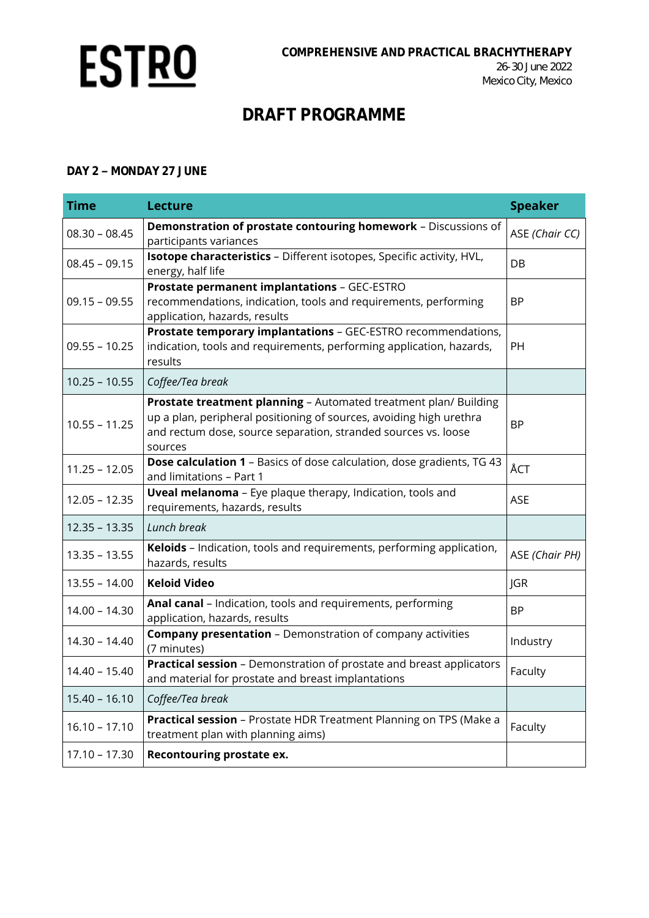

#### **DAY 2 MONDAY 27 JUNE**

| <b>Time</b>     | <b>Lecture</b>                                                                                                                                                                                                       | <b>Speaker</b> |
|-----------------|----------------------------------------------------------------------------------------------------------------------------------------------------------------------------------------------------------------------|----------------|
| $08.30 - 08.45$ | Demonstration of prostate contouring homework - Discussions of<br>participants variances                                                                                                                             | ASE (Chair CC) |
| $08.45 - 09.15$ | Isotope characteristics - Different isotopes, Specific activity, HVL,<br>energy, half life                                                                                                                           | DB             |
| $09.15 - 09.55$ | Prostate permanent implantations - GEC-ESTRO<br>recommendations, indication, tools and requirements, performing<br>application, hazards, results                                                                     | <b>BP</b>      |
| $09.55 - 10.25$ | Prostate temporary implantations - GEC-ESTRO recommendations,<br>indication, tools and requirements, performing application, hazards,<br>results                                                                     | PH             |
| $10.25 - 10.55$ | Coffee/Tea break                                                                                                                                                                                                     |                |
| $10.55 - 11.25$ | Prostate treatment planning - Automated treatment plan/ Building<br>up a plan, peripheral positioning of sources, avoiding high urethra<br>and rectum dose, source separation, stranded sources vs. loose<br>sources | <b>BP</b>      |
| $11.25 - 12.05$ | <b>Dose calculation 1</b> - Basics of dose calculation, dose gradients, TG 43<br>and limitations - Part 1                                                                                                            | ÅCT            |
| $12.05 - 12.35$ | <b>Uveal melanoma</b> - Eye plaque therapy, Indication, tools and<br>requirements, hazards, results                                                                                                                  | <b>ASE</b>     |
| $12.35 - 13.35$ | Lunch break                                                                                                                                                                                                          |                |
| $13.35 - 13.55$ | Keloids - Indication, tools and requirements, performing application,<br>hazards, results                                                                                                                            | ASE (Chair PH) |
| $13.55 - 14.00$ | <b>Keloid Video</b>                                                                                                                                                                                                  | JGR            |
| $14.00 - 14.30$ | Anal canal - Indication, tools and requirements, performing<br>application, hazards, results                                                                                                                         | <b>BP</b>      |
| $14.30 - 14.40$ | <b>Company presentation</b> - Demonstration of company activities<br>(7 minutes)                                                                                                                                     | Industry       |
| $14.40 - 15.40$ | Practical session - Demonstration of prostate and breast applicators<br>and material for prostate and breast implantations                                                                                           | Faculty        |
| $15.40 - 16.10$ | Coffee/Tea break                                                                                                                                                                                                     |                |
| $16.10 - 17.10$ | Practical session - Prostate HDR Treatment Planning on TPS (Make a<br>treatment plan with planning aims)                                                                                                             | Faculty        |
| $17.10 - 17.30$ | Recontouring prostate ex.                                                                                                                                                                                            |                |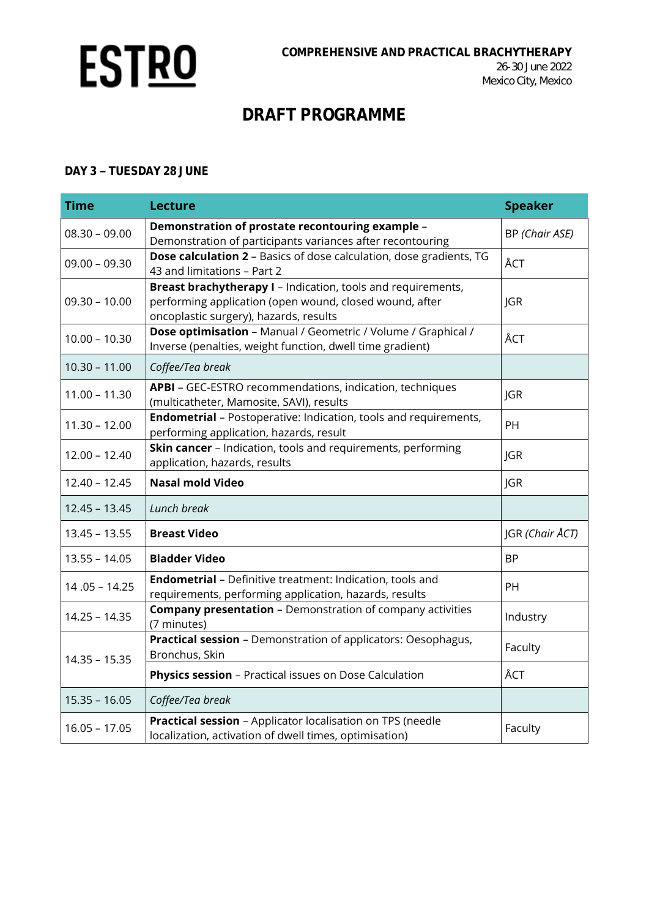

#### **DAY 3 TUESDAY 28 JUNE**

| <b>Time</b>     | <b>Lecture</b>                                                                                                                                                    | <b>Speaker</b>  |
|-----------------|-------------------------------------------------------------------------------------------------------------------------------------------------------------------|-----------------|
| $08.30 - 09.00$ | Demonstration of prostate recontouring example -<br>Demonstration of participants variances after recontouring                                                    | BP (Chair ASE)  |
| $09.00 - 09.30$ | Dose calculation 2 - Basics of dose calculation, dose gradients, TG<br>43 and limitations - Part 2                                                                | ÅCT             |
| $09.30 - 10.00$ | Breast brachytherapy I - Indication, tools and requirements,<br>performing application (open wound, closed wound, after<br>oncoplastic surgery), hazards, results | JGR             |
| $10.00 - 10.30$ | Dose optimisation - Manual / Geometric / Volume / Graphical /<br>Inverse (penalties, weight function, dwell time gradient)                                        | ÅCT             |
| $10.30 - 11.00$ | Coffee/Tea break                                                                                                                                                  |                 |
| $11.00 - 11.30$ | APBI - GEC-ESTRO recommendations, indication, techniques<br>(multicatheter, Mamosite, SAVI), results                                                              | <b>JGR</b>      |
| $11.30 - 12.00$ | <b>Endometrial</b> - Postoperative: Indication, tools and requirements,<br>performing application, hazards, result                                                | PH              |
| $12.00 - 12.40$ | Skin cancer - Indication, tools and requirements, performing<br>application, hazards, results                                                                     | JGR             |
| $12.40 - 12.45$ | <b>Nasal mold Video</b>                                                                                                                                           | <b>JGR</b>      |
| $12.45 - 13.45$ | Lunch break                                                                                                                                                       |                 |
| $13.45 - 13.55$ | <b>Breast Video</b>                                                                                                                                               | JGR (Chair ÅCT) |
| $13.55 - 14.05$ | <b>Bladder Video</b>                                                                                                                                              | <b>BP</b>       |
| $14.05 - 14.25$ | Endometrial - Definitive treatment: Indication, tools and<br>requirements, performing application, hazards, results                                               | PH              |
| $14.25 - 14.35$ | <b>Company presentation - Demonstration of company activities</b><br>(7 minutes)                                                                                  | Industry        |
| $14.35 - 15.35$ | Practical session - Demonstration of applicators: Oesophagus,<br>Bronchus, Skin                                                                                   | Faculty         |
|                 | Physics session - Practical issues on Dose Calculation                                                                                                            | ÅCT             |
| $15.35 - 16.05$ | Coffee/Tea break                                                                                                                                                  |                 |
| $16.05 - 17.05$ | Practical session - Applicator localisation on TPS (needle<br>localization, activation of dwell times, optimisation)                                              | Faculty         |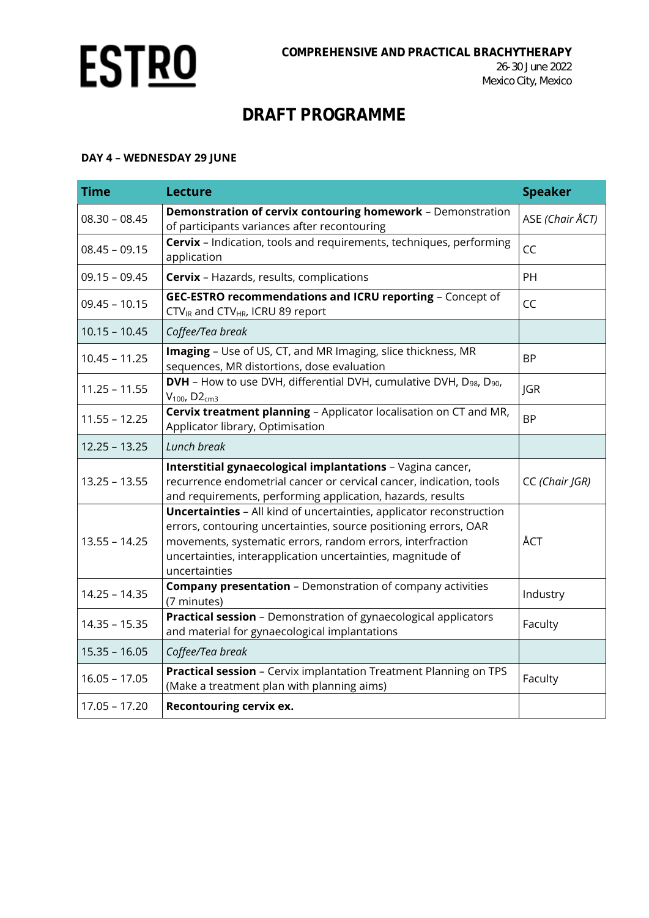

### **DAY 4 – WEDNESDAY 29 JUNE**

| <b>Time</b>     | <b>Lecture</b>                                                                                                                                                                                                                                                                                | <b>Speaker</b>  |
|-----------------|-----------------------------------------------------------------------------------------------------------------------------------------------------------------------------------------------------------------------------------------------------------------------------------------------|-----------------|
| $08.30 - 08.45$ | Demonstration of cervix contouring homework - Demonstration<br>of participants variances after recontouring                                                                                                                                                                                   | ASE (Chair ÅCT) |
| $08.45 - 09.15$ | Cervix - Indication, tools and requirements, techniques, performing<br>application                                                                                                                                                                                                            | CC              |
| $09.15 - 09.45$ | <b>Cervix</b> - Hazards, results, complications                                                                                                                                                                                                                                               | PH              |
| $09.45 - 10.15$ | GEC-ESTRO recommendations and ICRU reporting - Concept of<br>CTV <sub>IR</sub> and CTV <sub>HR</sub> , ICRU 89 report                                                                                                                                                                         | CC              |
| $10.15 - 10.45$ | Coffee/Tea break                                                                                                                                                                                                                                                                              |                 |
| $10.45 - 11.25$ | Imaging - Use of US, CT, and MR Imaging, slice thickness, MR<br>sequences, MR distortions, dose evaluation                                                                                                                                                                                    | <b>BP</b>       |
| $11.25 - 11.55$ | DVH - How to use DVH, differential DVH, cumulative DVH, D <sub>98</sub> , D <sub>90</sub> ,<br>$V_{100}$ , D2 $cm3$                                                                                                                                                                           | <b>JGR</b>      |
| $11.55 - 12.25$ | Cervix treatment planning - Applicator localisation on CT and MR,<br>Applicator library, Optimisation                                                                                                                                                                                         | <b>BP</b>       |
| $12.25 - 13.25$ | Lunch break                                                                                                                                                                                                                                                                                   |                 |
| $13.25 - 13.55$ | Interstitial gynaecological implantations - Vagina cancer,<br>recurrence endometrial cancer or cervical cancer, indication, tools<br>and requirements, performing application, hazards, results                                                                                               | CC (Chair JGR)  |
| $13.55 - 14.25$ | <b>Uncertainties</b> - All kind of uncertainties, applicator reconstruction<br>errors, contouring uncertainties, source positioning errors, OAR<br>movements, systematic errors, random errors, interfraction<br>uncertainties, interapplication uncertainties, magnitude of<br>uncertainties | ÅCT             |
| $14.25 - 14.35$ | <b>Company presentation</b> - Demonstration of company activities<br>(7 minutes)                                                                                                                                                                                                              | Industry        |
| $14.35 - 15.35$ | Practical session - Demonstration of gynaecological applicators<br>and material for gynaecological implantations                                                                                                                                                                              | Faculty         |
| $15.35 - 16.05$ | Coffee/Tea break                                                                                                                                                                                                                                                                              |                 |
| $16.05 - 17.05$ | Practical session - Cervix implantation Treatment Planning on TPS<br>(Make a treatment plan with planning aims)                                                                                                                                                                               | Faculty         |
| $17.05 - 17.20$ | Recontouring cervix ex.                                                                                                                                                                                                                                                                       |                 |